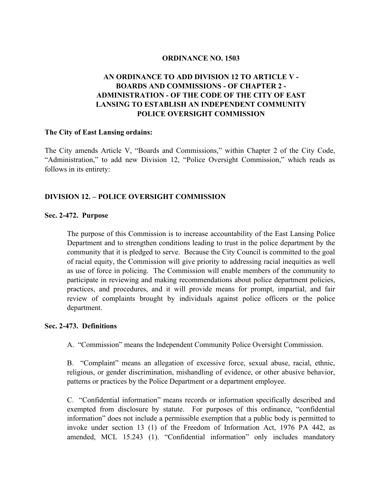#### **ORDINANCE NO. 1503**

# **AN ORDINANCE TO ADD DIVISION 12 TO ARTICLE V - BOARDS AND COMMISSIONS - OF CHAPTER 2 - ADMINISTRATION - OF THE CODE OF THE CITY OF EAST LANSING TO ESTABLISH AN INDEPENDENT COMMUNITY POLICE OVERSIGHT COMMISSION**

#### **The City of East Lansing ordains:**

The City amends Article V, "Boards and Commissions," within Chapter 2 of the City Code, "Administration," to add new Division 12, "Police Oversight Commission," which reads as follows in its entirety:

#### **DIVISION 12. – POLICE OVERSIGHT COMMISSION**

#### **Sec. 2-472. Purpose**

The purpose of this Commission is to increase accountability of the East Lansing Police Department and to strengthen conditions leading to trust in the police department by the community that it is pledged to serve. Because the City Council is committed to the goal of racial equity, the Commission will give priority to addressing racial inequities as well as use of force in policing. The Commission will enable members of the community to participate in reviewing and making recommendations about police department policies, practices, and procedures, and it will provide means for prompt, impartial, and fair review of complaints brought by individuals against police officers or the police department.

#### **Sec. 2-473. Definitions**

A. "Commission" means the Independent Community Police Oversight Commission.

B. "Complaint" means an allegation of excessive force, sexual abuse, racial, ethnic, religious, or gender discrimination, mishandling of evidence, or other abusive behavior, patterns or practices by the Police Department or a department employee.

C. "Confidential information" means records or information specifically described and exempted from disclosure by statute. For purposes of this ordinance, "confidential information" does not include a permissible exemption that a public body is permitted to invoke under section 13 (1) of the Freedom of Information Act, 1976 PA 442, as amended, MCL 15.243 (1). "Confidential information" only includes mandatory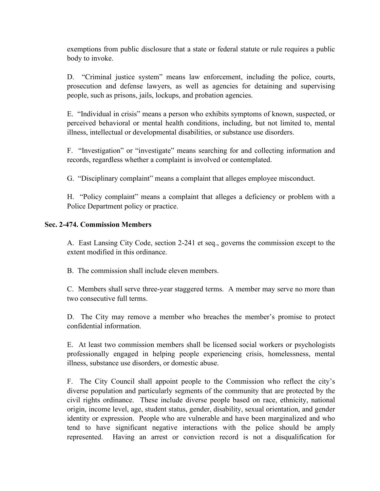exemptions from public disclosure that a state or federal statute or rule requires a public body to invoke.

D. "Criminal justice system" means law enforcement, including the police, courts, prosecution and defense lawyers, as well as agencies for detaining and supervising people, such as prisons, jails, lockups, and probation agencies.

E. "Individual in crisis" means a person who exhibits symptoms of known, suspected, or perceived behavioral or mental health conditions, including, but not limited to, mental illness, intellectual or developmental disabilities, or substance use disorders.

F. "Investigation" or "investigate" means searching for and collecting information and records, regardless whether a complaint is involved or contemplated.

G. "Disciplinary complaint" means a complaint that alleges employee misconduct.

H. "Policy complaint" means a complaint that alleges a deficiency or problem with a Police Department policy or practice.

## **Sec. 2-474. Commission Members**

A. East Lansing City Code, section 2-241 et seq., governs the commission except to the extent modified in this ordinance.

B. The commission shall include eleven members.

C. Members shall serve three-year staggered terms. A member may serve no more than two consecutive full terms.

D. The City may remove a member who breaches the member's promise to protect confidential information.

E. At least two commission members shall be licensed social workers or psychologists professionally engaged in helping people experiencing crisis, homelessness, mental illness, substance use disorders, or domestic abuse.

F. The City Council shall appoint people to the Commission who reflect the city's diverse population and particularly segments of the community that are protected by the civil rights ordinance. These include diverse people based on race, ethnicity, national origin, income level, age, student status, gender, disability, sexual orientation, and gender identity or expression. People who are vulnerable and have been marginalized and who tend to have significant negative interactions with the police should be amply represented. Having an arrest or conviction record is not a disqualification for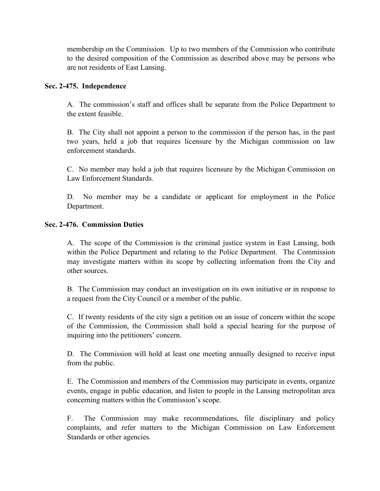membership on the Commission. Up to two members of the Commission who contribute to the desired composition of the Commission as described above may be persons who are not residents of East Lansing.

### **Sec. 2-475. Independence**

A. The commission's staff and offices shall be separate from the Police Department to the extent feasible.

B. The City shall not appoint a person to the commission if the person has, in the past two years, held a job that requires licensure by the Michigan commission on law enforcement standards.

C. No member may hold a job that requires licensure by the Michigan Commission on Law Enforcement Standards.

D. No member may be a candidate or applicant for employment in the Police Department.

### **Sec. 2-476. Commission Duties**

A. The scope of the Commission is the criminal justice system in East Lansing, both within the Police Department and relating to the Police Department. The Commission may investigate matters within its scope by collecting information from the City and other sources.

B. The Commission may conduct an investigation on its own initiative or in response to a request from the City Council or a member of the public.

C. If twenty residents of the city sign a petition on an issue of concern within the scope of the Commission, the Commission shall hold a special hearing for the purpose of inquiring into the petitioners' concern.

D. The Commission will hold at least one meeting annually designed to receive input from the public.

E. The Commission and members of the Commission may participate in events, organize events, engage in public education, and listen to people in the Lansing metropolitan area concerning matters within the Commission's scope.

F. The Commission may make recommendations, file disciplinary and policy complaints, and refer matters to the Michigan Commission on Law Enforcement Standards or other agencies.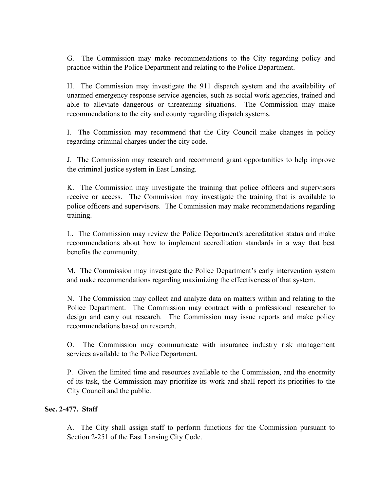G. The Commission may make recommendations to the City regarding policy and practice within the Police Department and relating to the Police Department.

H. The Commission may investigate the 911 dispatch system and the availability of unarmed emergency response service agencies, such as social work agencies, trained and able to alleviate dangerous or threatening situations. The Commission may make recommendations to the city and county regarding dispatch systems.

I. The Commission may recommend that the City Council make changes in policy regarding criminal charges under the city code.

J. The Commission may research and recommend grant opportunities to help improve the criminal justice system in East Lansing.

K. The Commission may investigate the training that police officers and supervisors receive or access. The Commission may investigate the training that is available to police officers and supervisors. The Commission may make recommendations regarding training.

L. The Commission may review the Police Department's accreditation status and make recommendations about how to implement accreditation standards in a way that best benefits the community.

M. The Commission may investigate the Police Department's early intervention system and make recommendations regarding maximizing the effectiveness of that system.

N. The Commission may collect and analyze data on matters within and relating to the Police Department. The Commission may contract with a professional researcher to design and carry out research. The Commission may issue reports and make policy recommendations based on research.

O. The Commission may communicate with insurance industry risk management services available to the Police Department.

P. Given the limited time and resources available to the Commission, and the enormity of its task, the Commission may prioritize its work and shall report its priorities to the City Council and the public.

## **Sec. 2-477. Staff**

A. The City shall assign staff to perform functions for the Commission pursuant to Section 2-251 of the East Lansing City Code.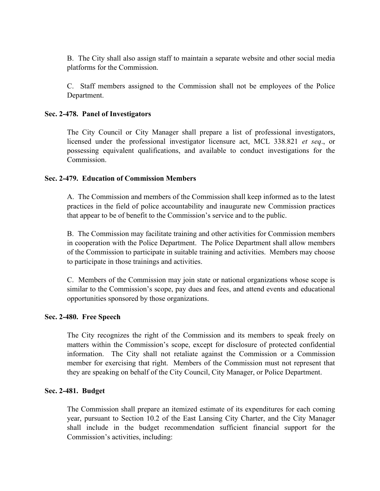B. The City shall also assign staff to maintain a separate website and other social media platforms for the Commission.

C. Staff members assigned to the Commission shall not be employees of the Police Department.

### **Sec. 2-478. Panel of Investigators**

The City Council or City Manager shall prepare a list of professional investigators, licensed under the professional investigator licensure act, MCL 338.821 *et seq*., or possessing equivalent qualifications, and available to conduct investigations for the Commission.

### **Sec. 2-479. Education of Commission Members**

A. The Commission and members of the Commission shall keep informed as to the latest practices in the field of police accountability and inaugurate new Commission practices that appear to be of benefit to the Commission's service and to the public.

B. The Commission may facilitate training and other activities for Commission members in cooperation with the Police Department. The Police Department shall allow members of the Commission to participate in suitable training and activities. Members may choose to participate in those trainings and activities.

C. Members of the Commission may join state or national organizations whose scope is similar to the Commission's scope, pay dues and fees, and attend events and educational opportunities sponsored by those organizations.

#### **Sec. 2-480. Free Speech**

The City recognizes the right of the Commission and its members to speak freely on matters within the Commission's scope, except for disclosure of protected confidential information. The City shall not retaliate against the Commission or a Commission member for exercising that right. Members of the Commission must not represent that they are speaking on behalf of the City Council, City Manager, or Police Department.

## **Sec. 2-481. Budget**

The Commission shall prepare an itemized estimate of its expenditures for each coming year, pursuant to Section 10.2 of the East Lansing City Charter, and the City Manager shall include in the budget recommendation sufficient financial support for the Commission's activities, including: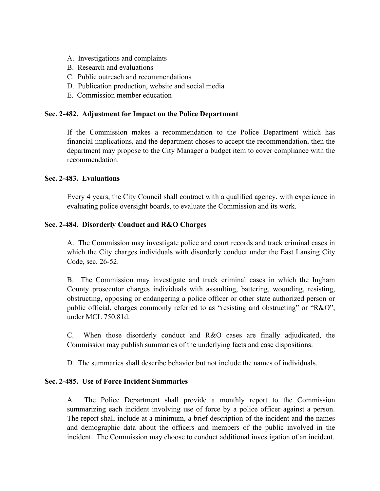- A. Investigations and complaints
- B. Research and evaluations
- C. Public outreach and recommendations
- D. Publication production, website and social media
- E. Commission member education

### **Sec. 2-482. Adjustment for Impact on the Police Department**

If the Commission makes a recommendation to the Police Department which has financial implications, and the department choses to accept the recommendation, then the department may propose to the City Manager a budget item to cover compliance with the recommendation.

#### **Sec. 2-483. Evaluations**

Every 4 years, the City Council shall contract with a qualified agency, with experience in evaluating police oversight boards, to evaluate the Commission and its work.

### **Sec. 2-484. Disorderly Conduct and R&O Charges**

A. The Commission may investigate police and court records and track criminal cases in which the City charges individuals with disorderly conduct under the East Lansing City Code, sec. 26-52.

B. The Commission may investigate and track criminal cases in which the Ingham County prosecutor charges individuals with assaulting, battering, wounding, resisting, obstructing, opposing or endangering a police officer or other state authorized person or public official, charges commonly referred to as "resisting and obstructing" or "R&O", under MCL 750.81d.

C. When those disorderly conduct and R&O cases are finally adjudicated, the Commission may publish summaries of the underlying facts and case dispositions.

D. The summaries shall describe behavior but not include the names of individuals.

#### **Sec. 2-485. Use of Force Incident Summaries**

A. The Police Department shall provide a monthly report to the Commission summarizing each incident involving use of force by a police officer against a person. The report shall include at a minimum, a brief description of the incident and the names and demographic data about the officers and members of the public involved in the incident. The Commission may choose to conduct additional investigation of an incident.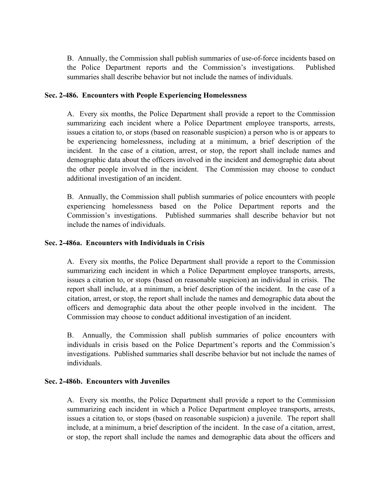B. Annually, the Commission shall publish summaries of use-of-force incidents based on the Police Department reports and the Commission's investigations. Published summaries shall describe behavior but not include the names of individuals.

### **Sec. 2-486. Encounters with People Experiencing Homelessness**

A. Every six months, the Police Department shall provide a report to the Commission summarizing each incident where a Police Department employee transports, arrests, issues a citation to, or stops (based on reasonable suspicion) a person who is or appears to be experiencing homelessness, including at a minimum, a brief description of the incident. In the case of a citation, arrest, or stop, the report shall include names and demographic data about the officers involved in the incident and demographic data about the other people involved in the incident. The Commission may choose to conduct additional investigation of an incident.

B. Annually, the Commission shall publish summaries of police encounters with people experiencing homelessness based on the Police Department reports and the Commission's investigations. Published summaries shall describe behavior but not include the names of individuals.

### **Sec. 2-486a. Encounters with Individuals in Crisis**

A. Every six months, the Police Department shall provide a report to the Commission summarizing each incident in which a Police Department employee transports, arrests, issues a citation to, or stops (based on reasonable suspicion) an individual in crisis. The report shall include, at a minimum, a brief description of the incident. In the case of a citation, arrest, or stop, the report shall include the names and demographic data about the officers and demographic data about the other people involved in the incident. The Commission may choose to conduct additional investigation of an incident.

B. Annually, the Commission shall publish summaries of police encounters with individuals in crisis based on the Police Department's reports and the Commission's investigations. Published summaries shall describe behavior but not include the names of individuals.

## **Sec. 2-486b. Encounters with Juveniles**

A. Every six months, the Police Department shall provide a report to the Commission summarizing each incident in which a Police Department employee transports, arrests, issues a citation to, or stops (based on reasonable suspicion) a juvenile. The report shall include, at a minimum, a brief description of the incident. In the case of a citation, arrest, or stop, the report shall include the names and demographic data about the officers and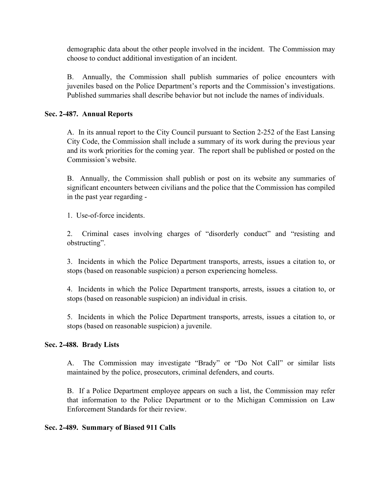demographic data about the other people involved in the incident. The Commission may choose to conduct additional investigation of an incident.

B. Annually, the Commission shall publish summaries of police encounters with juveniles based on the Police Department's reports and the Commission's investigations. Published summaries shall describe behavior but not include the names of individuals.

## **Sec. 2-487. Annual Reports**

A. In its annual report to the City Council pursuant to Section 2-252 of the East Lansing City Code, the Commission shall include a summary of its work during the previous year and its work priorities for the coming year. The report shall be published or posted on the Commission's website.

B. Annually, the Commission shall publish or post on its website any summaries of significant encounters between civilians and the police that the Commission has compiled in the past year regarding -

1. Use-of-force incidents.

2. Criminal cases involving charges of "disorderly conduct" and "resisting and obstructing".

3. Incidents in which the Police Department transports, arrests, issues a citation to, or stops (based on reasonable suspicion) a person experiencing homeless.

4. Incidents in which the Police Department transports, arrests, issues a citation to, or stops (based on reasonable suspicion) an individual in crisis.

5. Incidents in which the Police Department transports, arrests, issues a citation to, or stops (based on reasonable suspicion) a juvenile.

## **Sec. 2-488. Brady Lists**

A. The Commission may investigate "Brady" or "Do Not Call" or similar lists maintained by the police, prosecutors, criminal defenders, and courts.

B. If a Police Department employee appears on such a list, the Commission may refer that information to the Police Department or to the Michigan Commission on Law Enforcement Standards for their review.

## **Sec. 2-489. Summary of Biased 911 Calls**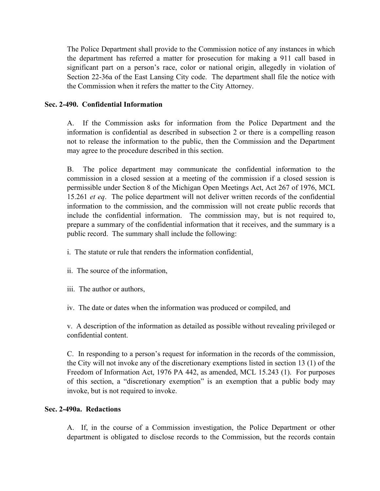The Police Department shall provide to the Commission notice of any instances in which the department has referred a matter for prosecution for making a 911 call based in significant part on a person's race, color or national origin, allegedly in violation of Section 22-36a of the East Lansing City code. The department shall file the notice with the Commission when it refers the matter to the City Attorney.

### **Sec. 2-490. Confidential Information**

A. If the Commission asks for information from the Police Department and the information is confidential as described in subsection 2 or there is a compelling reason not to release the information to the public, then the Commission and the Department may agree to the procedure described in this section.

B. The police department may communicate the confidential information to the commission in a closed session at a meeting of the commission if a closed session is permissible under Section 8 of the Michigan Open Meetings Act, Act 267 of 1976, MCL 15.261 *et eq*. The police department will not deliver written records of the confidential information to the commission, and the commission will not create public records that include the confidential information. The commission may, but is not required to, prepare a summary of the confidential information that it receives, and the summary is a public record. The summary shall include the following:

- i. The statute or rule that renders the information confidential,
- ii. The source of the information,
- iii. The author or authors,
- iv. The date or dates when the information was produced or compiled, and

v. A description of the information as detailed as possible without revealing privileged or confidential content.

C. In responding to a person's request for information in the records of the commission, the City will not invoke any of the discretionary exemptions listed in section 13 (1) of the Freedom of Information Act, 1976 PA 442, as amended, MCL 15.243 (1). For purposes of this section, a "discretionary exemption" is an exemption that a public body may invoke, but is not required to invoke.

### **Sec. 2-490a. Redactions**

A. If, in the course of a Commission investigation, the Police Department or other department is obligated to disclose records to the Commission, but the records contain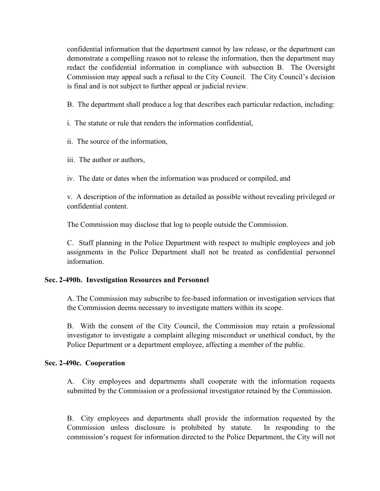confidential information that the department cannot by law release, or the department can demonstrate a compelling reason not to release the information, then the department may redact the confidential information in compliance with subsection B. The Oversight Commission may appeal such a refusal to the City Council. The City Council's decision is final and is not subject to further appeal or judicial review.

B. The department shall produce a log that describes each particular redaction, including:

i. The statute or rule that renders the information confidential,

ii. The source of the information,

iii. The author or authors,

iv. The date or dates when the information was produced or compiled, and

v. A description of the information as detailed as possible without revealing privileged or confidential content.

The Commission may disclose that log to people outside the Commission.

C. Staff planning in the Police Department with respect to multiple employees and job assignments in the Police Department shall not be treated as confidential personnel information.

#### **Sec. 2-490b. Investigation Resources and Personnel**

A. The Commission may subscribe to fee-based information or investigation services that the Commission deems necessary to investigate matters within its scope.

B. With the consent of the City Council, the Commission may retain a professional investigator to investigate a complaint alleging misconduct or unethical conduct, by the Police Department or a department employee, affecting a member of the public.

#### **Sec. 2-490c. Cooperation**

A. City employees and departments shall cooperate with the information requests submitted by the Commission or a professional investigator retained by the Commission.

B. City employees and departments shall provide the information requested by the Commission unless disclosure is prohibited by statute. In responding to the commission's request for information directed to the Police Department, the City will not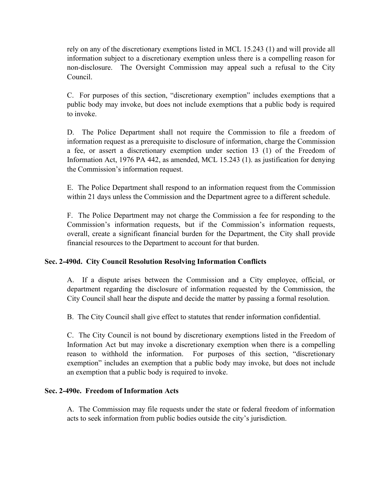rely on any of the discretionary exemptions listed in MCL 15.243 (1) and will provide all information subject to a discretionary exemption unless there is a compelling reason for non-disclosure. The Oversight Commission may appeal such a refusal to the City Council.

C. For purposes of this section, "discretionary exemption" includes exemptions that a public body may invoke, but does not include exemptions that a public body is required to invoke.

D. The Police Department shall not require the Commission to file a freedom of information request as a prerequisite to disclosure of information, charge the Commission a fee, or assert a discretionary exemption under section 13 (1) of the Freedom of Information Act, 1976 PA 442, as amended, MCL 15.243 (1). as justification for denying the Commission's information request.

E. The Police Department shall respond to an information request from the Commission within 21 days unless the Commission and the Department agree to a different schedule.

F. The Police Department may not charge the Commission a fee for responding to the Commission's information requests, but if the Commission's information requests, overall, create a significant financial burden for the Department, the City shall provide financial resources to the Department to account for that burden.

## **Sec. 2-490d. City Council Resolution Resolving Information Conflicts**

A. If a dispute arises between the Commission and a City employee, official, or department regarding the disclosure of information requested by the Commission, the City Council shall hear the dispute and decide the matter by passing a formal resolution.

B. The City Council shall give effect to statutes that render information confidential.

C. The City Council is not bound by discretionary exemptions listed in the Freedom of Information Act but may invoke a discretionary exemption when there is a compelling reason to withhold the information. For purposes of this section, "discretionary exemption" includes an exemption that a public body may invoke, but does not include an exemption that a public body is required to invoke.

## **Sec. 2-490e. Freedom of Information Acts**

A. The Commission may file requests under the state or federal freedom of information acts to seek information from public bodies outside the city's jurisdiction.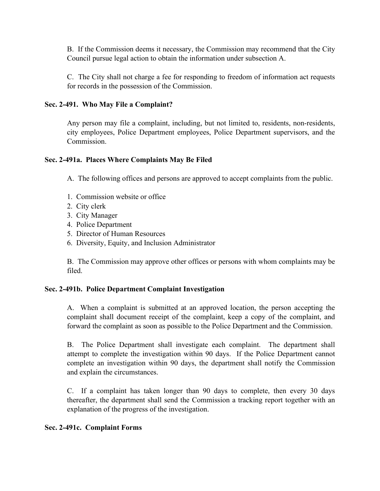B. If the Commission deems it necessary, the Commission may recommend that the City Council pursue legal action to obtain the information under subsection A.

C. The City shall not charge a fee for responding to freedom of information act requests for records in the possession of the Commission.

### **Sec. 2-491. Who May File a Complaint?**

Any person may file a complaint, including, but not limited to, residents, non-residents, city employees, Police Department employees, Police Department supervisors, and the Commission.

#### **Sec. 2-491a. Places Where Complaints May Be Filed**

A. The following offices and persons are approved to accept complaints from the public.

- 1. Commission website or office
- 2. City clerk
- 3. City Manager
- 4. Police Department
- 5. Director of Human Resources
- 6. Diversity, Equity, and Inclusion Administrator

B. The Commission may approve other offices or persons with whom complaints may be filed.

#### **Sec. 2-491b. Police Department Complaint Investigation**

A. When a complaint is submitted at an approved location, the person accepting the complaint shall document receipt of the complaint, keep a copy of the complaint, and forward the complaint as soon as possible to the Police Department and the Commission.

B. The Police Department shall investigate each complaint. The department shall attempt to complete the investigation within 90 days. If the Police Department cannot complete an investigation within 90 days, the department shall notify the Commission and explain the circumstances.

C. If a complaint has taken longer than 90 days to complete, then every 30 days thereafter, the department shall send the Commission a tracking report together with an explanation of the progress of the investigation.

#### **Sec. 2-491c. Complaint Forms**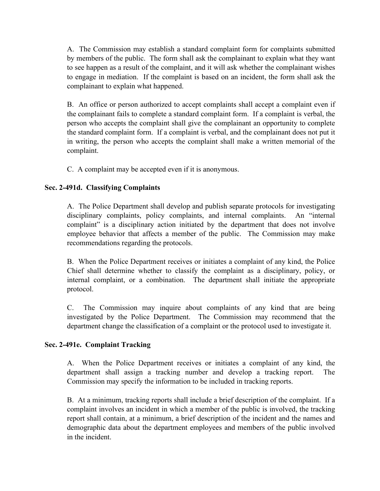A. The Commission may establish a standard complaint form for complaints submitted by members of the public. The form shall ask the complainant to explain what they want to see happen as a result of the complaint, and it will ask whether the complainant wishes to engage in mediation. If the complaint is based on an incident, the form shall ask the complainant to explain what happened.

B. An office or person authorized to accept complaints shall accept a complaint even if the complainant fails to complete a standard complaint form. If a complaint is verbal, the person who accepts the complaint shall give the complainant an opportunity to complete the standard complaint form. If a complaint is verbal, and the complainant does not put it in writing, the person who accepts the complaint shall make a written memorial of the complaint.

C. A complaint may be accepted even if it is anonymous.

# **Sec. 2-491d. Classifying Complaints**

A. The Police Department shall develop and publish separate protocols for investigating disciplinary complaints, policy complaints, and internal complaints. An "internal complaint" is a disciplinary action initiated by the department that does not involve employee behavior that affects a member of the public. The Commission may make recommendations regarding the protocols.

B. When the Police Department receives or initiates a complaint of any kind, the Police Chief shall determine whether to classify the complaint as a disciplinary, policy, or internal complaint, or a combination. The department shall initiate the appropriate protocol.

C. The Commission may inquire about complaints of any kind that are being investigated by the Police Department. The Commission may recommend that the department change the classification of a complaint or the protocol used to investigate it.

## **Sec. 2-491e. Complaint Tracking**

A. When the Police Department receives or initiates a complaint of any kind, the department shall assign a tracking number and develop a tracking report. The Commission may specify the information to be included in tracking reports.

B. At a minimum, tracking reports shall include a brief description of the complaint. If a complaint involves an incident in which a member of the public is involved, the tracking report shall contain, at a minimum, a brief description of the incident and the names and demographic data about the department employees and members of the public involved in the incident.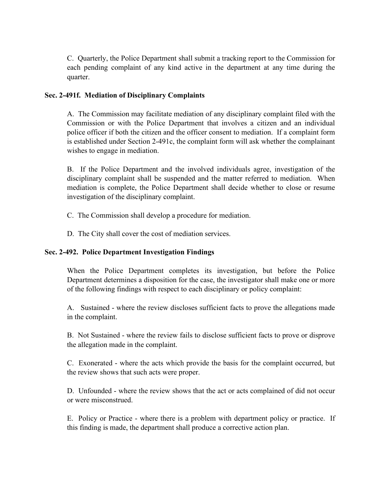C. Quarterly, the Police Department shall submit a tracking report to the Commission for each pending complaint of any kind active in the department at any time during the quarter.

### **Sec. 2-491f. Mediation of Disciplinary Complaints**

A. The Commission may facilitate mediation of any disciplinary complaint filed with the Commission or with the Police Department that involves a citizen and an individual police officer if both the citizen and the officer consent to mediation. If a complaint form is established under Section 2-491c, the complaint form will ask whether the complainant wishes to engage in mediation.

B. If the Police Department and the involved individuals agree, investigation of the disciplinary complaint shall be suspended and the matter referred to mediation. When mediation is complete, the Police Department shall decide whether to close or resume investigation of the disciplinary complaint.

- C. The Commission shall develop a procedure for mediation.
- D. The City shall cover the cost of mediation services.

## **Sec. 2-492. Police Department Investigation Findings**

When the Police Department completes its investigation, but before the Police Department determines a disposition for the case, the investigator shall make one or more of the following findings with respect to each disciplinary or policy complaint:

A. Sustained - where the review discloses sufficient facts to prove the allegations made in the complaint.

B. Not Sustained - where the review fails to disclose sufficient facts to prove or disprove the allegation made in the complaint.

C. Exonerated - where the acts which provide the basis for the complaint occurred, but the review shows that such acts were proper.

D. Unfounded - where the review shows that the act or acts complained of did not occur or were misconstrued.

E. Policy or Practice - where there is a problem with department policy or practice. If this finding is made, the department shall produce a corrective action plan.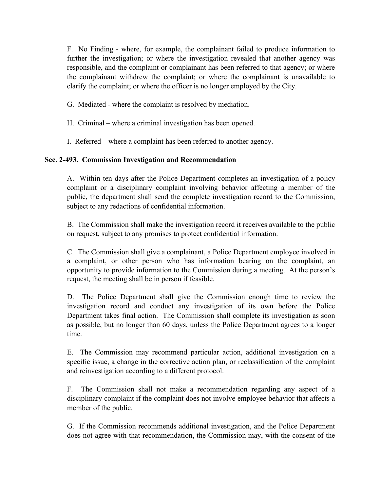F. No Finding - where, for example, the complainant failed to produce information to further the investigation; or where the investigation revealed that another agency was responsible, and the complaint or complainant has been referred to that agency; or where the complainant withdrew the complaint; or where the complainant is unavailable to clarify the complaint; or where the officer is no longer employed by the City.

G. Mediated - where the complaint is resolved by mediation.

H. Criminal – where a criminal investigation has been opened.

I. Referred—where a complaint has been referred to another agency.

## **Sec. 2-493. Commission Investigation and Recommendation**

A. Within ten days after the Police Department completes an investigation of a policy complaint or a disciplinary complaint involving behavior affecting a member of the public, the department shall send the complete investigation record to the Commission, subject to any redactions of confidential information.

B. The Commission shall make the investigation record it receives available to the public on request, subject to any promises to protect confidential information.

C. The Commission shall give a complainant, a Police Department employee involved in a complaint, or other person who has information bearing on the complaint, an opportunity to provide information to the Commission during a meeting. At the person's request, the meeting shall be in person if feasible.

D. The Police Department shall give the Commission enough time to review the investigation record and conduct any investigation of its own before the Police Department takes final action. The Commission shall complete its investigation as soon as possible, but no longer than 60 days, unless the Police Department agrees to a longer time.

E. The Commission may recommend particular action, additional investigation on a specific issue, a change in the corrective action plan, or reclassification of the complaint and reinvestigation according to a different protocol.

F. The Commission shall not make a recommendation regarding any aspect of a disciplinary complaint if the complaint does not involve employee behavior that affects a member of the public.

G. If the Commission recommends additional investigation, and the Police Department does not agree with that recommendation, the Commission may, with the consent of the